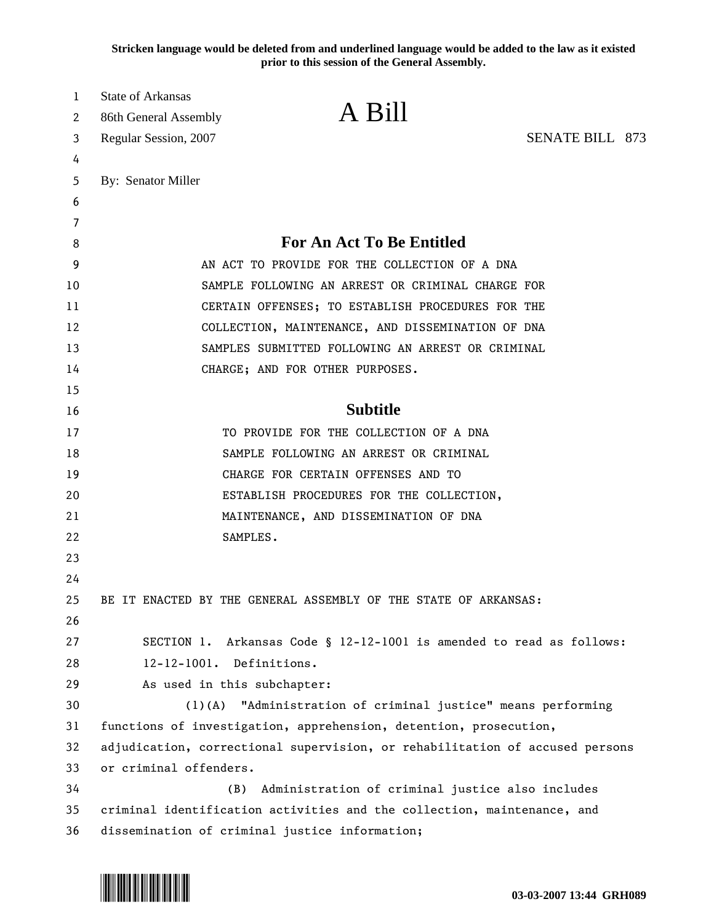**Stricken language would be deleted from and underlined language would be added to the law as it existed prior to this session of the General Assembly.**

| 1      | State of Arkansas                              | A Bill                                                                       |                        |  |
|--------|------------------------------------------------|------------------------------------------------------------------------------|------------------------|--|
| 2<br>3 | 86th General Assembly<br>Regular Session, 2007 |                                                                              | <b>SENATE BILL 873</b> |  |
| 4      |                                                |                                                                              |                        |  |
| 5      | By: Senator Miller                             |                                                                              |                        |  |
| 6      |                                                |                                                                              |                        |  |
| 7      |                                                |                                                                              |                        |  |
| 8      |                                                | <b>For An Act To Be Entitled</b>                                             |                        |  |
| 9      |                                                | AN ACT TO PROVIDE FOR THE COLLECTION OF A DNA                                |                        |  |
| 10     |                                                | SAMPLE FOLLOWING AN ARREST OR CRIMINAL CHARGE FOR                            |                        |  |
| 11     |                                                | CERTAIN OFFENSES; TO ESTABLISH PROCEDURES FOR THE                            |                        |  |
| 12     |                                                | COLLECTION, MAINTENANCE, AND DISSEMINATION OF DNA                            |                        |  |
| 13     |                                                | SAMPLES SUBMITTED FOLLOWING AN ARREST OR CRIMINAL                            |                        |  |
| 14     |                                                | CHARGE; AND FOR OTHER PURPOSES.                                              |                        |  |
| 15     |                                                |                                                                              |                        |  |
| 16     |                                                | <b>Subtitle</b>                                                              |                        |  |
| 17     |                                                | TO PROVIDE FOR THE COLLECTION OF A DNA                                       |                        |  |
| 18     |                                                | SAMPLE FOLLOWING AN ARREST OR CRIMINAL                                       |                        |  |
| 19     |                                                | CHARGE FOR CERTAIN OFFENSES AND TO                                           |                        |  |
| 20     |                                                | ESTABLISH PROCEDURES FOR THE COLLECTION,                                     |                        |  |
| 21     |                                                | MAINTENANCE, AND DISSEMINATION OF DNA                                        |                        |  |
| 22     |                                                | SAMPLES.                                                                     |                        |  |
| 23     |                                                |                                                                              |                        |  |
| 24     |                                                |                                                                              |                        |  |
| 25     |                                                | BE IT ENACTED BY THE GENERAL ASSEMBLY OF THE STATE OF ARKANSAS:              |                        |  |
| 26     |                                                |                                                                              |                        |  |
| 27     |                                                | SECTION 1. Arkansas Code § 12-12-1001 is amended to read as follows:         |                        |  |
| 28     | 12-12-1001. Definitions.                       |                                                                              |                        |  |
| 29     | As used in this subchapter:                    |                                                                              |                        |  |
| 30     | $(1)$ (A)                                      | "Administration of criminal justice" means performing                        |                        |  |
| 31     |                                                | functions of investigation, apprehension, detention, prosecution,            |                        |  |
| 32     |                                                | adjudication, correctional supervision, or rehabilitation of accused persons |                        |  |
| 33     | or criminal offenders.                         |                                                                              |                        |  |
| 34     | (B)                                            | Administration of criminal justice also includes                             |                        |  |
| 35     |                                                | criminal identification activities and the collection, maintenance, and      |                        |  |
| 36     |                                                | dissemination of criminal justice information;                               |                        |  |

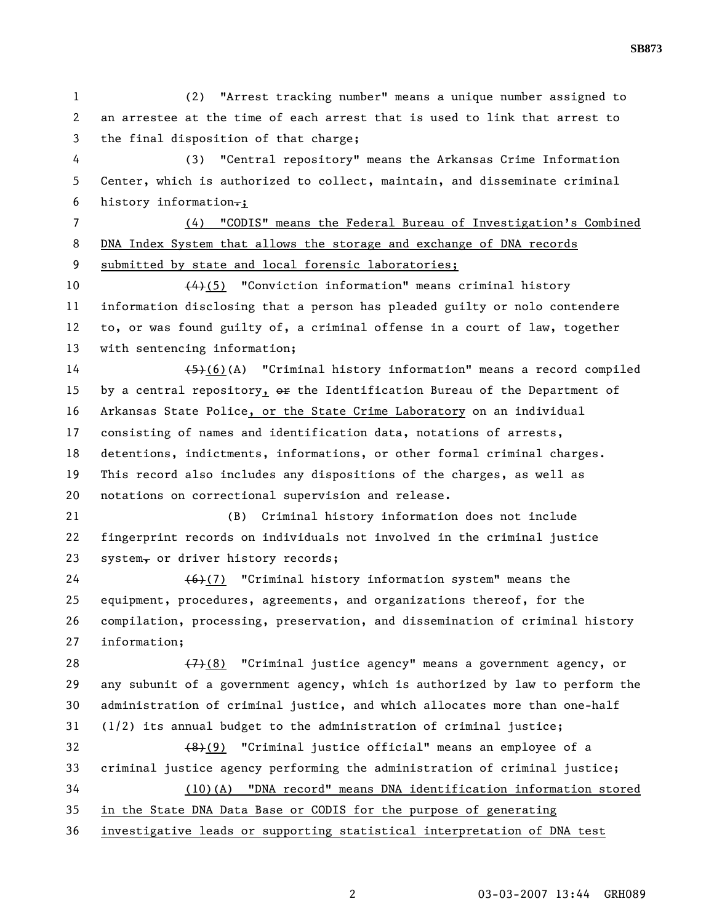1 (2) "Arrest tracking number" means a unique number assigned to 2 an arrestee at the time of each arrest that is used to link that arrest to 3 the final disposition of that charge; 4 (3) "Central repository" means the Arkansas Crime Information 5 Center, which is authorized to collect, maintain, and disseminate criminal 6 history information $-$ ; 7 (4) "CODIS" means the Federal Bureau of Investigation's Combined 8 DNA Index System that allows the storage and exchange of DNA records 9 submitted by state and local forensic laboratories; 10 (4)(5) "Conviction information" means criminal history 11 information disclosing that a person has pleaded guilty or nolo contendere 12 to, or was found guilty of, a criminal offense in a court of law, together 13 with sentencing information; 14 (5)(6)(A) "Criminal history information" means a record compiled 15 by a central repository,  $\Theta$  the Identification Bureau of the Department of 16 Arkansas State Police, or the State Crime Laboratory on an individual 17 consisting of names and identification data, notations of arrests, 18 detentions, indictments, informations, or other formal criminal charges. 19 This record also includes any dispositions of the charges, as well as 20 notations on correctional supervision and release. 21 (B) Criminal history information does not include 22 fingerprint records on individuals not involved in the criminal justice 23 system, or driver history records; 24 (6)(7) "Criminal history information system" means the 25 equipment, procedures, agreements, and organizations thereof, for the 26 compilation, processing, preservation, and dissemination of criminal history 27 information; 28  $(7)$ (8) "Criminal justice agency" means a government agency, or 29 any subunit of a government agency, which is authorized by law to perform the 30 administration of criminal justice, and which allocates more than one-half 31 (1/2) its annual budget to the administration of criminal justice; 32 (8)(9) "Criminal justice official" means an employee of a 33 criminal justice agency performing the administration of criminal justice; 34 (10)(A) "DNA record" means DNA identification information stored 35 in the State DNA Data Base or CODIS for the purpose of generating 36 investigative leads or supporting statistical interpretation of DNA test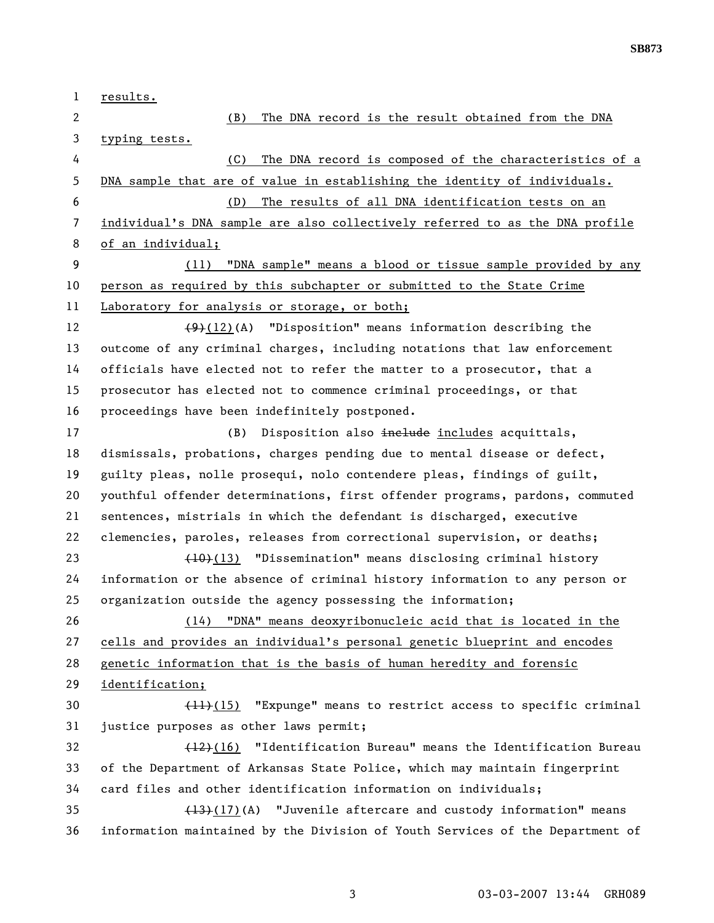**SB873** 

1 results. 2 (B) The DNA record is the result obtained from the DNA 3 typing tests. 4 (C) The DNA record is composed of the characteristics of a 5 DNA sample that are of value in establishing the identity of individuals. 6 (D) The results of all DNA identification tests on an 7 individual's DNA sample are also collectively referred to as the DNA profile 8 of an individual; 9 (11) "DNA sample" means a blood or tissue sample provided by any 10 person as required by this subchapter or submitted to the State Crime 11 Laboratory for analysis or storage, or both; 12 (9)(12)(A) "Disposition" means information describing the 13 outcome of any criminal charges, including notations that law enforcement 14 officials have elected not to refer the matter to a prosecutor, that a 15 prosecutor has elected not to commence criminal proceedings, or that 16 proceedings have been indefinitely postponed. 17 (B) Disposition also includes acquittals, 18 dismissals, probations, charges pending due to mental disease or defect, 19 guilty pleas, nolle prosequi, nolo contendere pleas, findings of guilt, 20 youthful offender determinations, first offender programs, pardons, commuted 21 sentences, mistrials in which the defendant is discharged, executive 22 clemencies, paroles, releases from correctional supervision, or deaths; 23 (10)(13) "Dissemination" means disclosing criminal history 24 information or the absence of criminal history information to any person or 25 organization outside the agency possessing the information; 26 (14) "DNA" means deoxyribonucleic acid that is located in the 27 cells and provides an individual's personal genetic blueprint and encodes 28 genetic information that is the basis of human heredity and forensic 29 identification; 30 (11)(15) "Expunge" means to restrict access to specific criminal 31 justice purposes as other laws permit; 32 (12)(16) "Identification Bureau" means the Identification Bureau 33 of the Department of Arkansas State Police, which may maintain fingerprint 34 card files and other identification information on individuals; 35 ( $\left(\frac{13}{17}\right)(\text{A})$  "Juvenile aftercare and custody information" means 36 information maintained by the Division of Youth Services of the Department of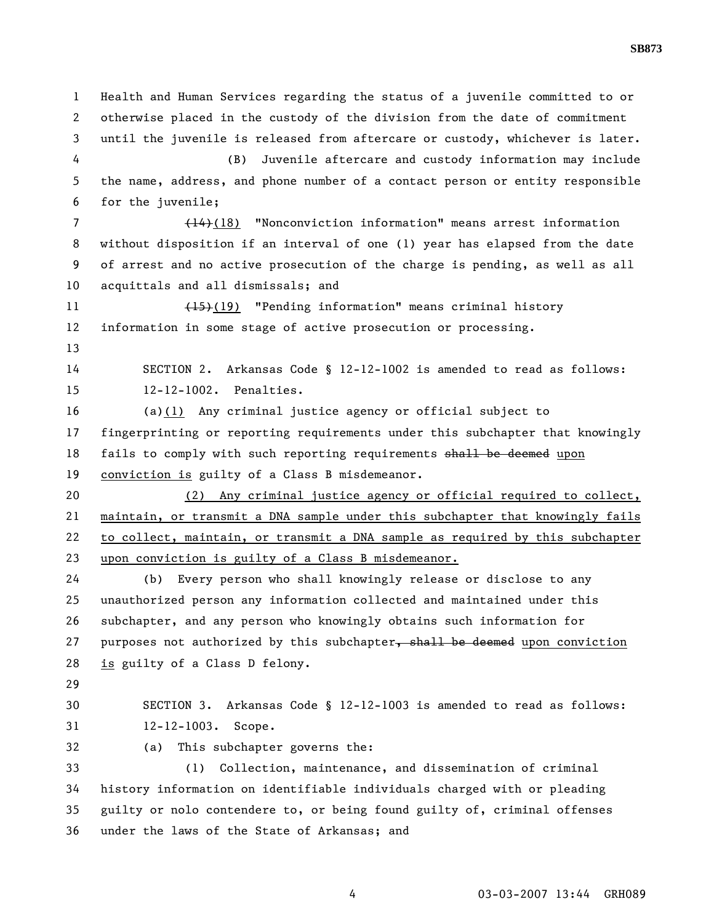1 Health and Human Services regarding the status of a juvenile committed to or 2 otherwise placed in the custody of the division from the date of commitment 3 until the juvenile is released from aftercare or custody, whichever is later. 4 (B) Juvenile aftercare and custody information may include 5 the name, address, and phone number of a contact person or entity responsible 6 for the juvenile; 7 (14)(18) "Nonconviction information" means arrest information 8 without disposition if an interval of one (1) year has elapsed from the date 9 of arrest and no active prosecution of the charge is pending, as well as all 10 acquittals and all dismissals; and 11 (15)(19) "Pending information" means criminal history 12 information in some stage of active prosecution or processing. 13 14 SECTION 2. Arkansas Code § 12-12-1002 is amended to read as follows: 15 12-12-1002. Penalties. 16 (a)(1) Any criminal justice agency or official subject to 17 fingerprinting or reporting requirements under this subchapter that knowingly 18 fails to comply with such reporting requirements shall be deemed upon 19 conviction is guilty of a Class B misdemeanor. 20 (2) Any criminal justice agency or official required to collect, 21 maintain, or transmit a DNA sample under this subchapter that knowingly fails 22 to collect, maintain, or transmit a DNA sample as required by this subchapter 23 upon conviction is guilty of a Class B misdemeanor. 24 (b) Every person who shall knowingly release or disclose to any 25 unauthorized person any information collected and maintained under this 26 subchapter, and any person who knowingly obtains such information for 27 purposes not authorized by this subchapter, shall be deemed upon conviction 28 is guilty of a Class D felony. 29 30 SECTION 3. Arkansas Code § 12-12-1003 is amended to read as follows: 31 12-12-1003. Scope. 32 (a) This subchapter governs the: 33 (1) Collection, maintenance, and dissemination of criminal 34 history information on identifiable individuals charged with or pleading 35 guilty or nolo contendere to, or being found guilty of, criminal offenses 36 under the laws of the State of Arkansas; and

4 03-03-2007 13:44 GRH089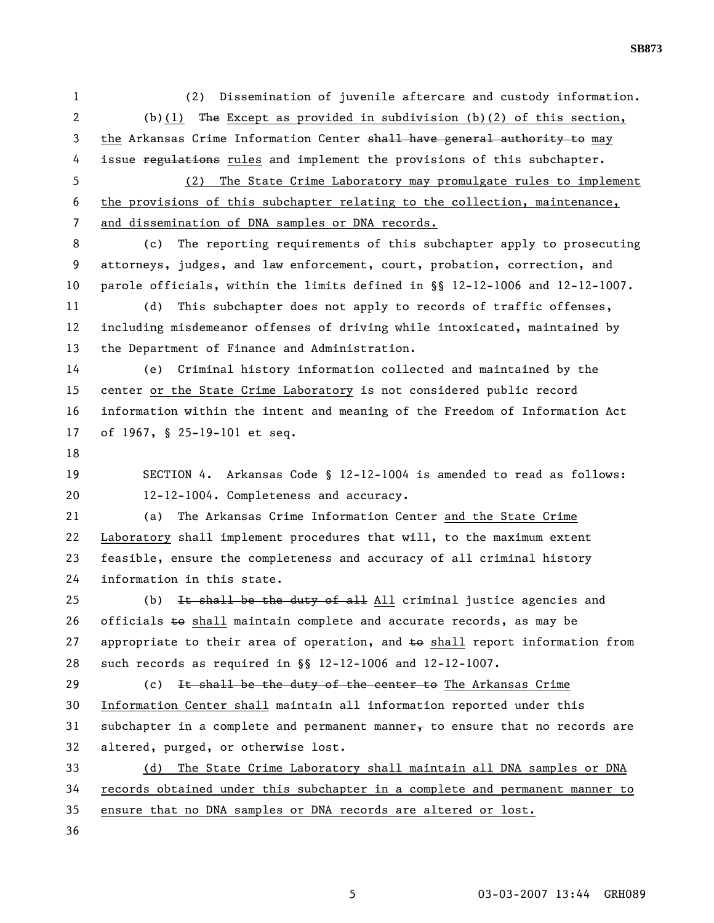1 (2) Dissemination of juvenile aftercare and custody information. 2 (b)(1) The Except as provided in subdivision (b)(2) of this section, 3 the Arkansas Crime Information Center shall have general authority to may 4 issue regulations rules and implement the provisions of this subchapter.

5 (2) The State Crime Laboratory may promulgate rules to implement 6 the provisions of this subchapter relating to the collection, maintenance, 7 and dissemination of DNA samples or DNA records.

8 (c) The reporting requirements of this subchapter apply to prosecuting 9 attorneys, judges, and law enforcement, court, probation, correction, and 10 parole officials, within the limits defined in §§ 12-12-1006 and 12-12-1007.

11 (d) This subchapter does not apply to records of traffic offenses, 12 including misdemeanor offenses of driving while intoxicated, maintained by 13 the Department of Finance and Administration.

14 (e) Criminal history information collected and maintained by the 15 center or the State Crime Laboratory is not considered public record 16 information within the intent and meaning of the Freedom of Information Act 17 of 1967, § 25-19-101 et seq.

18

19 SECTION 4. Arkansas Code § 12-12-1004 is amended to read as follows: 20 12-12-1004. Completeness and accuracy.

21 (a) The Arkansas Crime Information Center and the State Crime 22 Laboratory shall implement procedures that will, to the maximum extent 23 feasible, ensure the completeness and accuracy of all criminal history 24 information in this state.

25 (b) It shall be the duty of all  $\Delta 11$  criminal justice agencies and 26 officials  $\pm$ o shall maintain complete and accurate records, as may be 27 appropriate to their area of operation, and  $\pm\Theta$  shall report information from 28 such records as required in §§ 12-12-1006 and 12-12-1007.

29 (c) It shall be the duty of the center to The Arkansas Crime 30 Information Center shall maintain all information reported under this 31 subchapter in a complete and permanent manner, to ensure that no records are 32 altered, purged, or otherwise lost.

33 (d) The State Crime Laboratory shall maintain all DNA samples or DNA 34 records obtained under this subchapter in a complete and permanent manner to 35 ensure that no DNA samples or DNA records are altered or lost.

36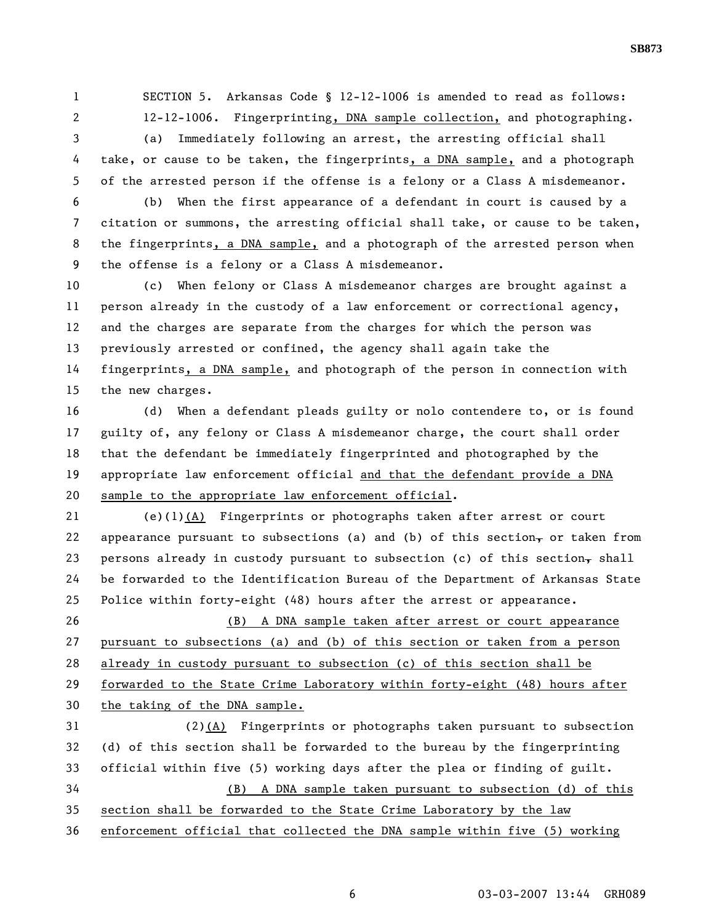1 SECTION 5. Arkansas Code § 12-12-1006 is amended to read as follows: 2 12-12-1006. Fingerprinting, DNA sample collection, and photographing.

3 (a) Immediately following an arrest, the arresting official shall 4 take, or cause to be taken, the fingerprints, a DNA sample, and a photograph 5 of the arrested person if the offense is a felony or a Class A misdemeanor.

6 (b) When the first appearance of a defendant in court is caused by a 7 citation or summons, the arresting official shall take, or cause to be taken, 8 the fingerprints, a DNA sample, and a photograph of the arrested person when 9 the offense is a felony or a Class A misdemeanor.

10 (c) When felony or Class A misdemeanor charges are brought against a 11 person already in the custody of a law enforcement or correctional agency, 12 and the charges are separate from the charges for which the person was 13 previously arrested or confined, the agency shall again take the 14 fingerprints, a DNA sample, and photograph of the person in connection with 15 the new charges.

16 (d) When a defendant pleads guilty or nolo contendere to, or is found 17 guilty of, any felony or Class A misdemeanor charge, the court shall order 18 that the defendant be immediately fingerprinted and photographed by the 19 appropriate law enforcement official and that the defendant provide a DNA 20 sample to the appropriate law enforcement official.

21 (e)(1)(A) Fingerprints or photographs taken after arrest or court 22 appearance pursuant to subsections (a) and (b) of this section, or taken from 23 persons already in custody pursuant to subsection (c) of this section, shall 24 be forwarded to the Identification Bureau of the Department of Arkansas State 25 Police within forty-eight (48) hours after the arrest or appearance.

26 (B) A DNA sample taken after arrest or court appearance 27 pursuant to subsections (a) and (b) of this section or taken from a person 28 already in custody pursuant to subsection (c) of this section shall be 29 forwarded to the State Crime Laboratory within forty-eight (48) hours after 30 the taking of the DNA sample.

31 (2)(A) Fingerprints or photographs taken pursuant to subsection 32 (d) of this section shall be forwarded to the bureau by the fingerprinting 33 official within five (5) working days after the plea or finding of guilt. 34 (B) A DNA sample taken pursuant to subsection (d) of this 35 section shall be forwarded to the State Crime Laboratory by the law 36 enforcement official that collected the DNA sample within five (5) working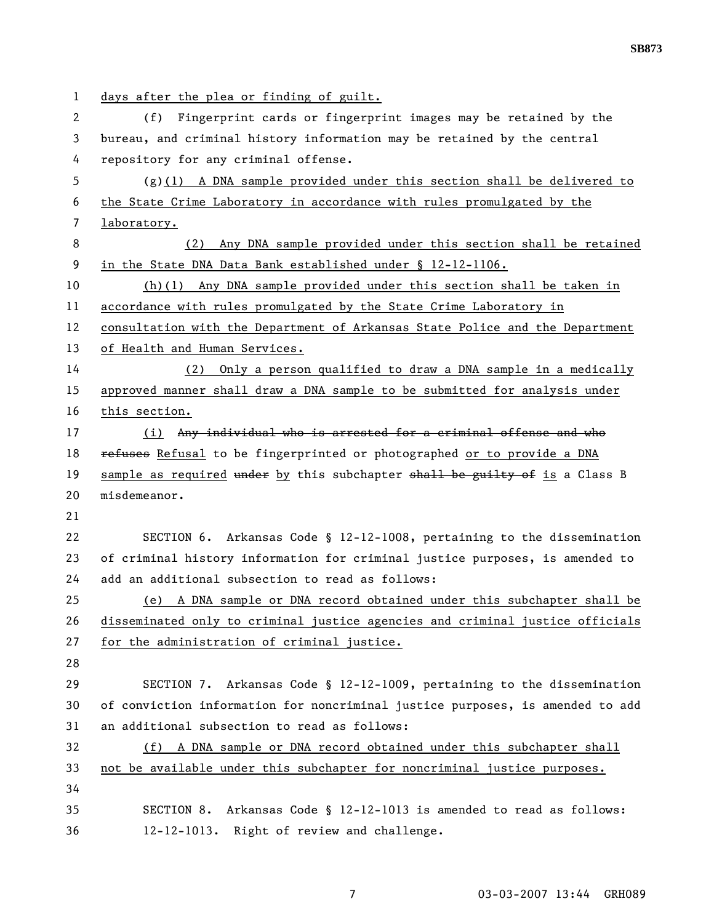1 days after the plea or finding of guilt. 2 (f) Fingerprint cards or fingerprint images may be retained by the 3 bureau, and criminal history information may be retained by the central 4 repository for any criminal offense. 5 (g)(1) A DNA sample provided under this section shall be delivered to 6 the State Crime Laboratory in accordance with rules promulgated by the 7 laboratory. 8 (2) Any DNA sample provided under this section shall be retained 9 in the State DNA Data Bank established under § 12-12-1106. 10 (h)(1) Any DNA sample provided under this section shall be taken in 11 accordance with rules promulgated by the State Crime Laboratory in 12 consultation with the Department of Arkansas State Police and the Department 13 of Health and Human Services. 14 (2) Only a person qualified to draw a DNA sample in a medically 15 approved manner shall draw a DNA sample to be submitted for analysis under 16 this section. 17 (i) Any individual who is arrested for a criminal offense and who 18 refuses Refusal to be fingerprinted or photographed or to provide a DNA 19 sample as required under by this subchapter shall be guilty of is a Class B 20 misdemeanor. 21 22 SECTION 6. Arkansas Code § 12-12-1008, pertaining to the dissemination 23 of criminal history information for criminal justice purposes, is amended to 24 add an additional subsection to read as follows: 25 (e) A DNA sample or DNA record obtained under this subchapter shall be 26 disseminated only to criminal justice agencies and criminal justice officials 27 for the administration of criminal justice. 28 29 SECTION 7. Arkansas Code § 12-12-1009, pertaining to the dissemination 30 of conviction information for noncriminal justice purposes, is amended to add 31 an additional subsection to read as follows: 32 (f) A DNA sample or DNA record obtained under this subchapter shall 33 not be available under this subchapter for noncriminal justice purposes. 34 35 SECTION 8. Arkansas Code § 12-12-1013 is amended to read as follows: 36 12-12-1013. Right of review and challenge.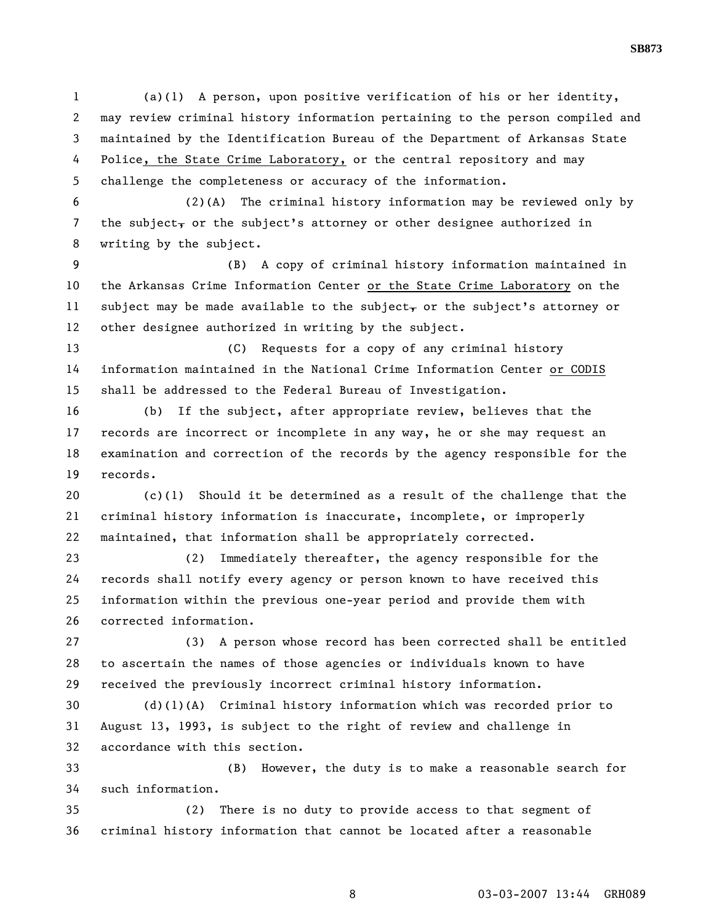1 (a)(1) A person, upon positive verification of his or her identity, 2 may review criminal history information pertaining to the person compiled and 3 maintained by the Identification Bureau of the Department of Arkansas State 4 Police, the State Crime Laboratory, or the central repository and may 5 challenge the completeness or accuracy of the information.

6 (2)(A) The criminal history information may be reviewed only by 7 the subject, or the subject's attorney or other designee authorized in 8 writing by the subject.

9 (B) A copy of criminal history information maintained in 10 the Arkansas Crime Information Center or the State Crime Laboratory on the 11 subject may be made available to the subject, or the subject's attorney or 12 other designee authorized in writing by the subject.

13 (C) Requests for a copy of any criminal history 14 information maintained in the National Crime Information Center or CODIS 15 shall be addressed to the Federal Bureau of Investigation.

16 (b) If the subject, after appropriate review, believes that the 17 records are incorrect or incomplete in any way, he or she may request an 18 examination and correction of the records by the agency responsible for the 19 records.

20 (c)(1) Should it be determined as a result of the challenge that the 21 criminal history information is inaccurate, incomplete, or improperly 22 maintained, that information shall be appropriately corrected.

23 (2) Immediately thereafter, the agency responsible for the 24 records shall notify every agency or person known to have received this 25 information within the previous one-year period and provide them with 26 corrected information.

27 (3) A person whose record has been corrected shall be entitled 28 to ascertain the names of those agencies or individuals known to have 29 received the previously incorrect criminal history information.

30 (d)(1)(A) Criminal history information which was recorded prior to 31 August 13, 1993, is subject to the right of review and challenge in 32 accordance with this section.

33 (B) However, the duty is to make a reasonable search for 34 such information.

35 (2) There is no duty to provide access to that segment of 36 criminal history information that cannot be located after a reasonable

8 03-03-2007 13:44 GRH089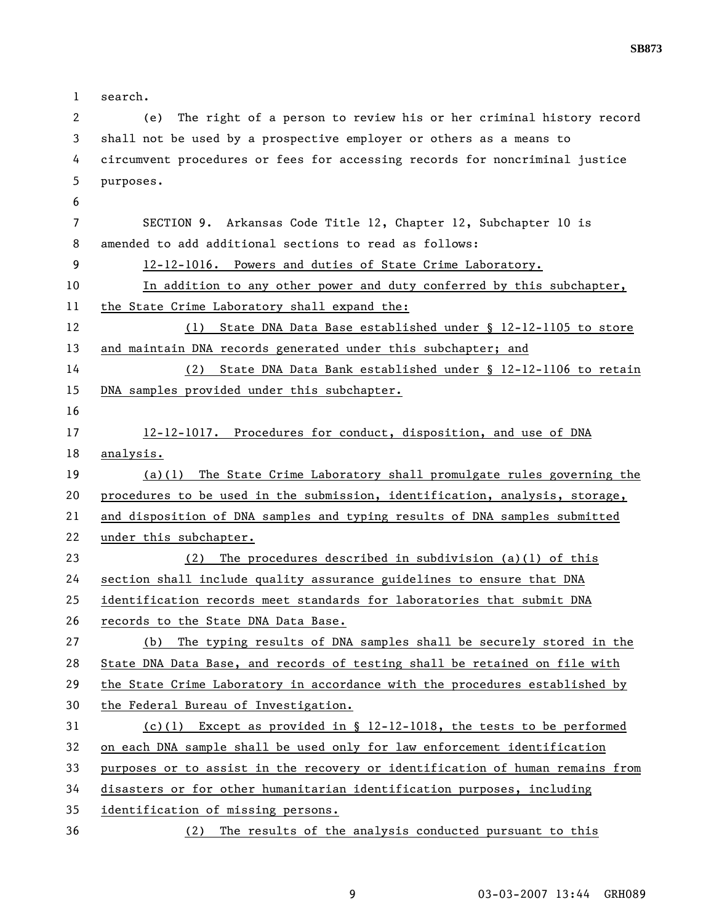1 search. 2 (e) The right of a person to review his or her criminal history record 3 shall not be used by a prospective employer or others as a means to 4 circumvent procedures or fees for accessing records for noncriminal justice 5 purposes. 6 7 SECTION 9. Arkansas Code Title 12, Chapter 12, Subchapter 10 is 8 amended to add additional sections to read as follows: 9 12-12-1016. Powers and duties of State Crime Laboratory. 10 In addition to any other power and duty conferred by this subchapter, 11 the State Crime Laboratory shall expand the: 12 (1) State DNA Data Base established under § 12-12-1105 to store 13 and maintain DNA records generated under this subchapter; and 14 (2) State DNA Data Bank established under § 12-12-1106 to retain 15 DNA samples provided under this subchapter. 16 17 12-12-1017. Procedures for conduct, disposition, and use of DNA 18 analysis. 19 (a)(1) The State Crime Laboratory shall promulgate rules governing the 20 procedures to be used in the submission, identification, analysis, storage, 21 and disposition of DNA samples and typing results of DNA samples submitted 22 under this subchapter. 23 (2) The procedures described in subdivision (a)(1) of this 24 section shall include quality assurance guidelines to ensure that DNA 25 identification records meet standards for laboratories that submit DNA 26 records to the State DNA Data Base. 27 (b) The typing results of DNA samples shall be securely stored in the 28 State DNA Data Base, and records of testing shall be retained on file with 29 the State Crime Laboratory in accordance with the procedures established by 30 the Federal Bureau of Investigation. 31 (c)(1) Except as provided in § 12-12-1018, the tests to be performed 32 on each DNA sample shall be used only for law enforcement identification 33 purposes or to assist in the recovery or identification of human remains from 34 disasters or for other humanitarian identification purposes, including 35 identification of missing persons. 36 (2) The results of the analysis conducted pursuant to this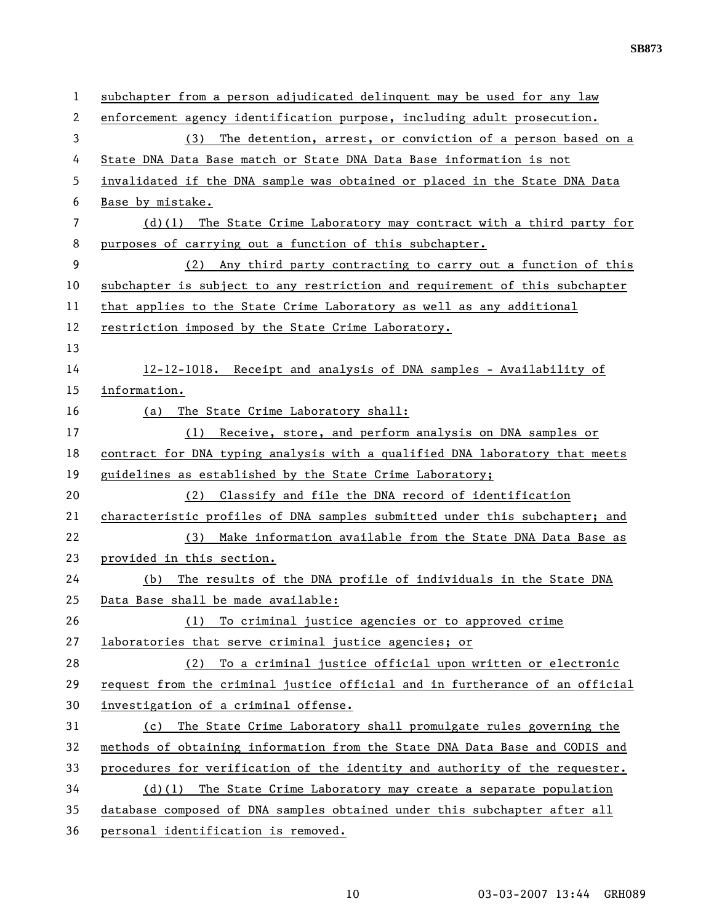| 1            | subchapter from a person adjudicated delinguent may be used for any law      |
|--------------|------------------------------------------------------------------------------|
| $\mathbf{2}$ | enforcement agency identification purpose, including adult prosecution.      |
| 3            | The detention, arrest, or conviction of a person based on a<br>(3)           |
| 4            | State DNA Data Base match or State DNA Data Base information is not          |
| 5            | invalidated if the DNA sample was obtained or placed in the State DNA Data   |
| 6            | Base by mistake.                                                             |
| 7            | $(d)(1)$ The State Crime Laboratory may contract with a third party for      |
| 8            | purposes of carrying out a function of this subchapter.                      |
| 9            | (2) Any third party contracting to carry out a function of this              |
| 10           | subchapter is subject to any restriction and requirement of this subchapter  |
| 11           | that applies to the State Crime Laboratory as well as any additional         |
| 12           | restriction imposed by the State Crime Laboratory.                           |
| 13           |                                                                              |
| 14           | 12-12-1018. Receipt and analysis of DNA samples - Availability of            |
| 15           | information.                                                                 |
| 16           | The State Crime Laboratory shall:<br>(a)                                     |
| 17           | (1) Receive, store, and perform analysis on DNA samples or                   |
| 18           | contract for DNA typing analysis with a qualified DNA laboratory that meets  |
| 19           | guidelines as established by the State Crime Laboratory;                     |
| 20           | (2) Classify and file the DNA record of identification                       |
| 21           | characteristic profiles of DNA samples submitted under this subchapter; and  |
| 22           | (3) Make information available from the State DNA Data Base as               |
| 23           | provided in this section.                                                    |
| 24           | The results of the DNA profile of individuals in the State DNA<br>(b)        |
| 25           | Data Base shall be made available:                                           |
| 26           | To criminal justice agencies or to approved crime<br>(1)                     |
| 27           | laboratories that serve criminal justice agencies; or                        |
| 28           | To a criminal justice official upon written or electronic<br>(2)             |
| 29           | request from the criminal justice official and in furtherance of an official |
| 30           | investigation of a criminal offense.                                         |
| 31           | The State Crime Laboratory shall promulgate rules governing the<br>(c)       |
| 32           | methods of obtaining information from the State DNA Data Base and CODIS and  |
| 33           | procedures for verification of the identity and authority of the requester.  |
| 34           | $(d)(1)$ The State Crime Laboratory may create a separate population         |
| 35           | database composed of DNA samples obtained under this subchapter after all    |
| 36           | personal identification is removed.                                          |